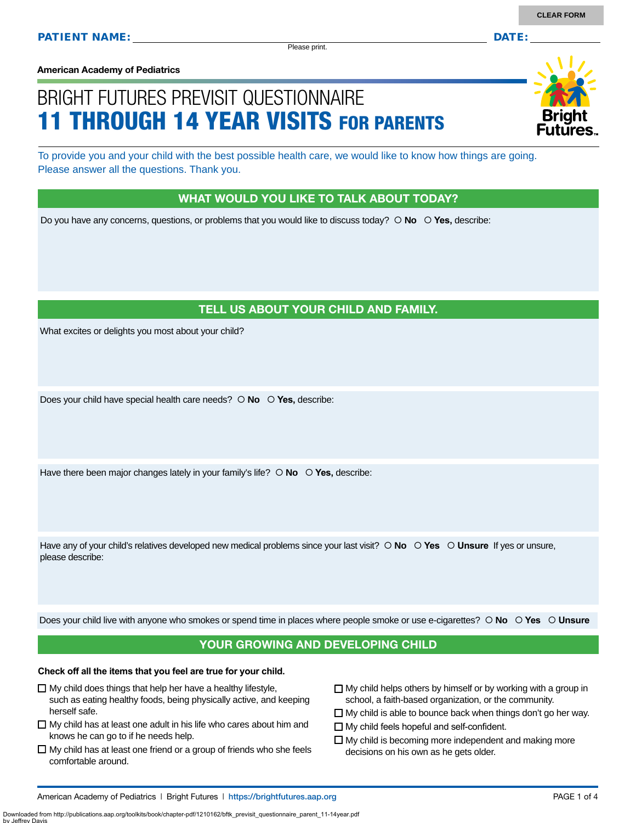Please print.

**American Academy of Pediatrics**

# BRIGHT FUTURES PREVISIT QUESTIONNAIRE 11 THROUGH 14 YEAR VISITS FOR PARENTS

To provide you and your child with the best possible health care, we would like to know how things are going. Please answer all the questions. Thank you.

#### WHAT WOULD YOU LIKE TO TALK ABOUT TODAY?

Do you have any concerns, questions, or problems that you would like to discuss today?  **No Yes,** describe:

#### TELL US ABOUT YOUR CHILD AND FAMILY.

What excites or delights you most about your child?

Does your child have special health care needs?  **No Yes,** describe:

Have there been major changes lately in your family's life?  $\circ$  **No**  $\circ$  **Yes**, describe:

Have any of your child's relatives developed new medical problems since your last visit?  $\circ$  **No**  $\circ$  **Yes**  $\circ$  **Unsure** If yes or unsure, please describe:

Does your child live with anyone who smokes or spend time in places where people smoke or use e-cigarettes?  **No Yes Unsure**

#### YOUR GROWING AND DEVELOPING CHILD

#### **Check off all the items that you feel are true for your child.**

- $\Box$  My child does things that help her have a healthy lifestyle, such as eating healthy foods, being physically active, and keeping herself safe.
- $\Box$  My child has at least one adult in his life who cares about him and knows he can go to if he needs help.
- $\Box$  My child has at least one friend or a group of friends who she feels comfortable around.
- $\Box$  My child helps others by himself or by working with a group in school, a faith-based organization, or the community.
- $\Box$  My child is able to bounce back when things don't go her way.
- □ My child feels hopeful and self-confident.
- $\Box$  My child is becoming more independent and making more decisions on his own as he gets older.

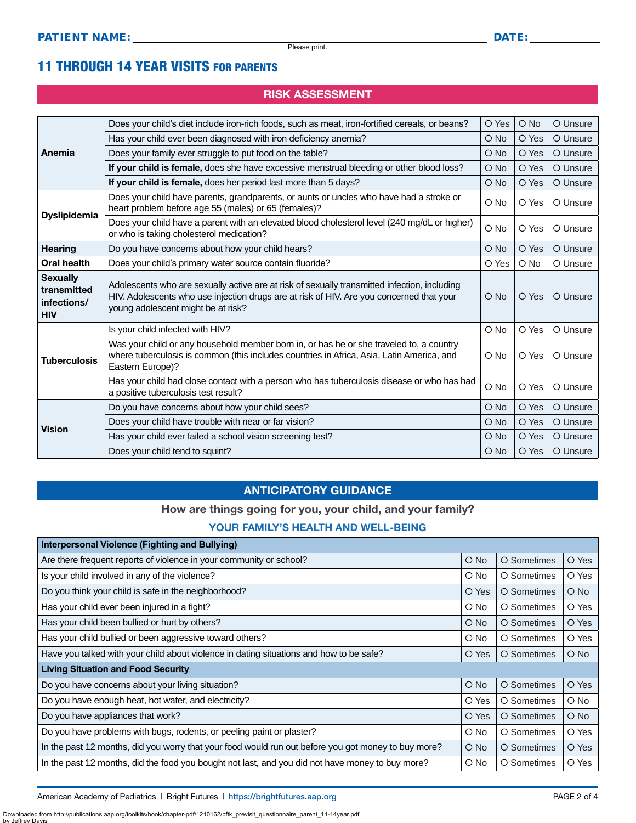### 11 THROUGH 14 YEAR VISITS FOR PARENTS

#### RISK ASSESSMENT

| Anemia                                                      | Does your child's diet include iron-rich foods, such as meat, iron-fortified cereals, or beans?                                                                                                                                | O Yes         | O No  | O Unsure |
|-------------------------------------------------------------|--------------------------------------------------------------------------------------------------------------------------------------------------------------------------------------------------------------------------------|---------------|-------|----------|
|                                                             | Has your child ever been diagnosed with iron deficiency anemia?                                                                                                                                                                | O No          | O Yes | O Unsure |
|                                                             | Does your family ever struggle to put food on the table?                                                                                                                                                                       | $\bigcirc$ No | O Yes | O Unsure |
|                                                             | If your child is female, does she have excessive menstrual bleeding or other blood loss?                                                                                                                                       | O No          | O Yes | O Unsure |
|                                                             | If your child is female, does her period last more than 5 days?                                                                                                                                                                | O No          | O Yes | O Unsure |
| <b>Dyslipidemia</b>                                         | Does your child have parents, grandparents, or aunts or uncles who have had a stroke or<br>heart problem before age 55 (males) or 65 (females)?                                                                                | O No          | O Yes | O Unsure |
|                                                             | Does your child have a parent with an elevated blood cholesterol level (240 mg/dL or higher)<br>or who is taking cholesterol medication?                                                                                       | O No          | O Yes | O Unsure |
| <b>Hearing</b>                                              | Do you have concerns about how your child hears?                                                                                                                                                                               | $\bigcirc$ No | O Yes | O Unsure |
| Oral health                                                 | Does your child's primary water source contain fluoride?                                                                                                                                                                       | O Yes         | O No  | O Unsure |
| <b>Sexually</b><br>transmitted<br>infections/<br><b>HIV</b> | Adolescents who are sexually active are at risk of sexually transmitted infection, including<br>HIV. Adolescents who use injection drugs are at risk of HIV. Are you concerned that your<br>young adolescent might be at risk? | $O$ No        | O Yes | O Unsure |
|                                                             | Is your child infected with HIV?                                                                                                                                                                                               | O No          | O Yes | O Unsure |
| <b>Tuberculosis</b>                                         | Was your child or any household member born in, or has he or she traveled to, a country<br>where tuberculosis is common (this includes countries in Africa, Asia, Latin America, and<br>Eastern Europe)?                       | O No          | O Yes | O Unsure |
|                                                             | Has your child had close contact with a person who has tuberculosis disease or who has had<br>a positive tuberculosis test result?                                                                                             | O No          | O Yes | O Unsure |
| <b>Vision</b>                                               | Do you have concerns about how your child sees?                                                                                                                                                                                | O No          | O Yes | O Unsure |
|                                                             | Does your child have trouble with near or far vision?                                                                                                                                                                          | $\bigcirc$ No | O Yes | O Unsure |
|                                                             | Has your child ever failed a school vision screening test?                                                                                                                                                                     | $\bigcirc$ No | O Yes | O Unsure |
|                                                             | Does your child tend to squint?                                                                                                                                                                                                | $\bigcirc$ No | O Yes | O Unsure |

#### ANTICIPATORY GUIDANCE

#### How are things going for you, your child, and your family?

#### YOUR FAMILY'S HEALTH AND WELL-BEING

| Interpersonal Violence (Fighting and Bullying)                                                      |            |             |               |  |  |
|-----------------------------------------------------------------------------------------------------|------------|-------------|---------------|--|--|
| Are there frequent reports of violence in your community or school?                                 | $O$ No     | O Sometimes | O Yes         |  |  |
| Is your child involved in any of the violence?                                                      | $\circ$ No | O Sometimes | O Yes         |  |  |
| Do you think your child is safe in the neighborhood?                                                | O Yes      | O Sometimes | $\bigcirc$ No |  |  |
| Has your child ever been injured in a fight?                                                        | $\circ$ No | O Sometimes | O Yes         |  |  |
| Has your child been bullied or hurt by others?                                                      | $O$ No     | O Sometimes | O Yes         |  |  |
| Has your child bullied or been aggressive toward others?                                            | $\circ$ No | O Sometimes | O Yes         |  |  |
| Have you talked with your child about violence in dating situations and how to be safe?             | O Yes      | O Sometimes | $\bigcirc$ No |  |  |
| <b>Living Situation and Food Security</b>                                                           |            |             |               |  |  |
| Do you have concerns about your living situation?                                                   | $O$ No     | O Sometimes | O Yes         |  |  |
| Do you have enough heat, hot water, and electricity?                                                | O Yes      | O Sometimes | $\bigcirc$ No |  |  |
| Do you have appliances that work?                                                                   | O Yes      | O Sometimes | $\bigcirc$ No |  |  |
| Do you have problems with bugs, rodents, or peeling paint or plaster?                               | $\circ$ No | O Sometimes | O Yes         |  |  |
| In the past 12 months, did you worry that your food would run out before you got money to buy more? | $O$ No     | O Sometimes | O Yes         |  |  |
| In the past 12 months, did the food you bought not last, and you did not have money to buy more?    | O No       | O Sometimes | O Yes         |  |  |

American Academy of Pediatrics | Bright Futures | https:/[/brightfutures.aap.org](https://brightfutures.aap.org/Pages/default.aspx) | Namerican Academy of PAGE 2 of 4

Downloaded from http://publications.aap.org/toolkits/book/chapter-pdf/1210162/bftk\_previsit\_questionnaire\_parent\_11-14year.pdf by Jeffrey I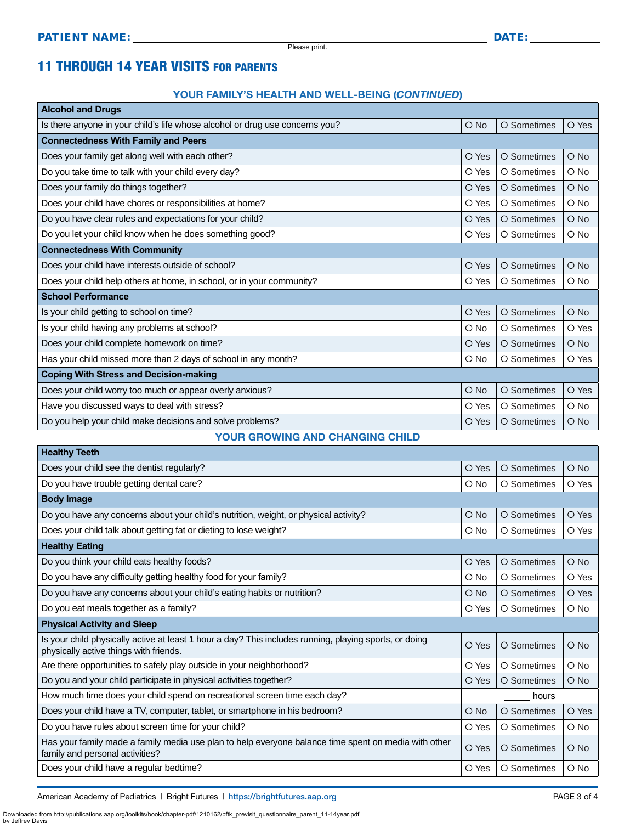### 11 THROUGH 14 YEAR VISITS FOR PARENTS

#### YOUR FAMILY'S HEALTH AND WELL-BEING (*CONTINUED*)

| <b>Alcohol and Drugs</b>                                                     |               |             |               |  |  |  |
|------------------------------------------------------------------------------|---------------|-------------|---------------|--|--|--|
| Is there anyone in your child's life whose alcohol or drug use concerns you? | $O$ No        | O Sometimes | O Yes         |  |  |  |
| <b>Connectedness With Family and Peers</b>                                   |               |             |               |  |  |  |
| Does your family get along well with each other?                             | O Yes         | O Sometimes | $O$ No        |  |  |  |
| Do you take time to talk with your child every day?                          | O Yes         | O Sometimes | O No          |  |  |  |
| Does your family do things together?                                         | O Yes         | O Sometimes | $O$ No        |  |  |  |
| Does your child have chores or responsibilities at home?                     | O Yes         | O Sometimes | O No          |  |  |  |
| Do you have clear rules and expectations for your child?                     | O Yes         | O Sometimes | $O$ No        |  |  |  |
| Do you let your child know when he does something good?                      | O Yes         | O Sometimes | O No          |  |  |  |
| <b>Connectedness With Community</b>                                          |               |             |               |  |  |  |
| Does your child have interests outside of school?                            | O Yes         | O Sometimes | O No          |  |  |  |
| Does your child help others at home, in school, or in your community?        | O Yes         | O Sometimes | O No          |  |  |  |
| <b>School Performance</b>                                                    |               |             |               |  |  |  |
| Is your child getting to school on time?                                     | O Yes         | O Sometimes | $O$ No        |  |  |  |
| Is your child having any problems at school?                                 | O No          | O Sometimes | O Yes         |  |  |  |
| Does your child complete homework on time?                                   | O Yes         | O Sometimes | $O$ No        |  |  |  |
| Has your child missed more than 2 days of school in any month?               | O No          | O Sometimes | O Yes         |  |  |  |
| <b>Coping With Stress and Decision-making</b>                                |               |             |               |  |  |  |
| Does your child worry too much or appear overly anxious?                     | $\bigcirc$ No | O Sometimes | O Yes         |  |  |  |
| Have you discussed ways to deal with stress?                                 | O Yes         | O Sometimes | $\bigcirc$ No |  |  |  |
| Do you help your child make decisions and solve problems?                    | O Yes         | O Sometimes | $O$ No        |  |  |  |

#### YOUR GROWING AND CHANGING CHILD

| <b>Healthy Teeth</b>                                                                                                                             |               |             |               |  |  |
|--------------------------------------------------------------------------------------------------------------------------------------------------|---------------|-------------|---------------|--|--|
| Does your child see the dentist regularly?                                                                                                       | O Yes         | O Sometimes | $O$ No        |  |  |
| Do you have trouble getting dental care?                                                                                                         | O No          | O Sometimes | O Yes         |  |  |
| <b>Body Image</b>                                                                                                                                |               |             |               |  |  |
| Do you have any concerns about your child's nutrition, weight, or physical activity?                                                             | $\bigcirc$ No | O Sometimes | O Yes         |  |  |
| Does your child talk about getting fat or dieting to lose weight?                                                                                | $O$ No        | O Sometimes | O Yes         |  |  |
| <b>Healthy Eating</b>                                                                                                                            |               |             |               |  |  |
| Do you think your child eats healthy foods?                                                                                                      | O Yes         | O Sometimes | O No          |  |  |
| Do you have any difficulty getting healthy food for your family?                                                                                 | O No          | O Sometimes | O Yes         |  |  |
| Do you have any concerns about your child's eating habits or nutrition?                                                                          | $\bigcirc$ No | O Sometimes | O Yes         |  |  |
| Do you eat meals together as a family?                                                                                                           | O Yes         | O Sometimes | $O$ No        |  |  |
| <b>Physical Activity and Sleep</b>                                                                                                               |               |             |               |  |  |
| Is your child physically active at least 1 hour a day? This includes running, playing sports, or doing<br>physically active things with friends. | O Yes         | O Sometimes | $O$ No        |  |  |
| Are there opportunities to safely play outside in your neighborhood?                                                                             | O Yes         | O Sometimes | $\circ$ No    |  |  |
| Do you and your child participate in physical activities together?                                                                               | O Yes         | O Sometimes | $O$ No        |  |  |
| How much time does your child spend on recreational screen time each day?                                                                        |               | hours       |               |  |  |
| Does your child have a TV, computer, tablet, or smartphone in his bedroom?                                                                       | $\bigcirc$ No | O Sometimes | O Yes         |  |  |
| Do you have rules about screen time for your child?                                                                                              | O Yes         | O Sometimes | $O$ No        |  |  |
| Has your family made a family media use plan to help everyone balance time spent on media with other<br>family and personal activities?          | O Yes         | O Sometimes | $O$ No        |  |  |
| Does your child have a regular bedtime?                                                                                                          | O Yes         | O Sometimes | $\bigcirc$ No |  |  |
|                                                                                                                                                  |               |             |               |  |  |

American Academy of Pediatrics | Bright Futures | https:/[/brightfutures.aap.org](https://brightfutures.aap.org/Pages/default.aspx) | Namerican Academy of PAGE 3 of 4